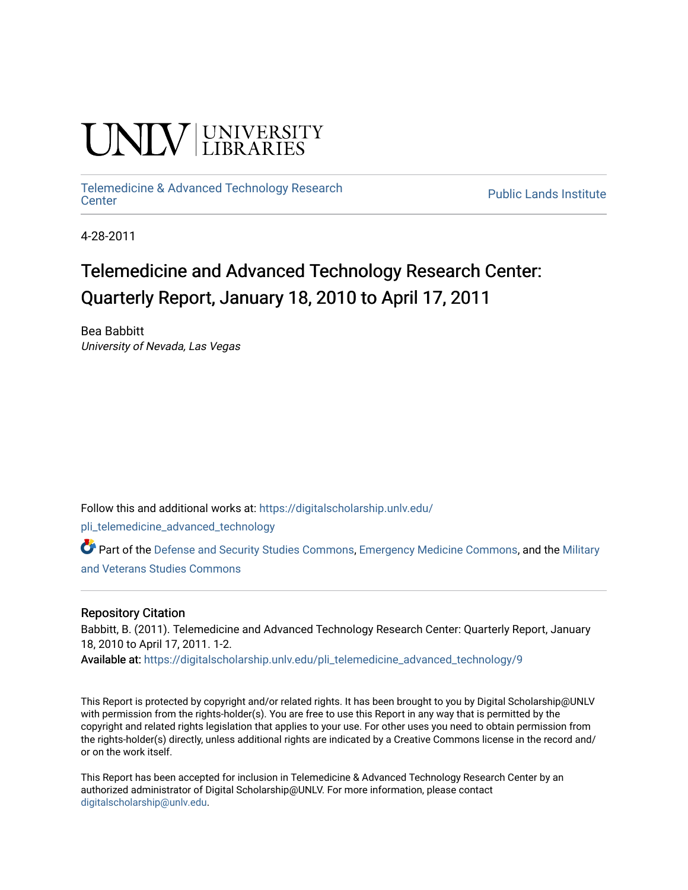# **INIVERSITY**

## [Telemedicine & Advanced Technology Research](https://digitalscholarship.unlv.edu/pli_telemedicine_advanced_technology)

**Public Lands Institute** 

4-28-2011

### Telemedicine and Advanced Technology Research Center: Quarterly Report, January 18, 2010 to April 17, 2011

Bea Babbitt University of Nevada, Las Vegas

Follow this and additional works at: [https://digitalscholarship.unlv.edu/](https://digitalscholarship.unlv.edu/pli_telemedicine_advanced_technology?utm_source=digitalscholarship.unlv.edu%2Fpli_telemedicine_advanced_technology%2F9&utm_medium=PDF&utm_campaign=PDFCoverPages)

[pli\\_telemedicine\\_advanced\\_technology](https://digitalscholarship.unlv.edu/pli_telemedicine_advanced_technology?utm_source=digitalscholarship.unlv.edu%2Fpli_telemedicine_advanced_technology%2F9&utm_medium=PDF&utm_campaign=PDFCoverPages) 

Part of the [Defense and Security Studies Commons](http://network.bepress.com/hgg/discipline/394?utm_source=digitalscholarship.unlv.edu%2Fpli_telemedicine_advanced_technology%2F9&utm_medium=PDF&utm_campaign=PDFCoverPages), [Emergency Medicine Commons,](http://network.bepress.com/hgg/discipline/685?utm_source=digitalscholarship.unlv.edu%2Fpli_telemedicine_advanced_technology%2F9&utm_medium=PDF&utm_campaign=PDFCoverPages) and the [Military](http://network.bepress.com/hgg/discipline/396?utm_source=digitalscholarship.unlv.edu%2Fpli_telemedicine_advanced_technology%2F9&utm_medium=PDF&utm_campaign=PDFCoverPages)  [and Veterans Studies Commons](http://network.bepress.com/hgg/discipline/396?utm_source=digitalscholarship.unlv.edu%2Fpli_telemedicine_advanced_technology%2F9&utm_medium=PDF&utm_campaign=PDFCoverPages) 

#### Repository Citation

Babbitt, B. (2011). Telemedicine and Advanced Technology Research Center: Quarterly Report, January 18, 2010 to April 17, 2011. 1-2.

Available at: [https://digitalscholarship.unlv.edu/pli\\_telemedicine\\_advanced\\_technology/9](https://digitalscholarship.unlv.edu/pli_telemedicine_advanced_technology/9) 

This Report is protected by copyright and/or related rights. It has been brought to you by Digital Scholarship@UNLV with permission from the rights-holder(s). You are free to use this Report in any way that is permitted by the copyright and related rights legislation that applies to your use. For other uses you need to obtain permission from the rights-holder(s) directly, unless additional rights are indicated by a Creative Commons license in the record and/ or on the work itself.

This Report has been accepted for inclusion in Telemedicine & Advanced Technology Research Center by an authorized administrator of Digital Scholarship@UNLV. For more information, please contact [digitalscholarship@unlv.edu](mailto:digitalscholarship@unlv.edu).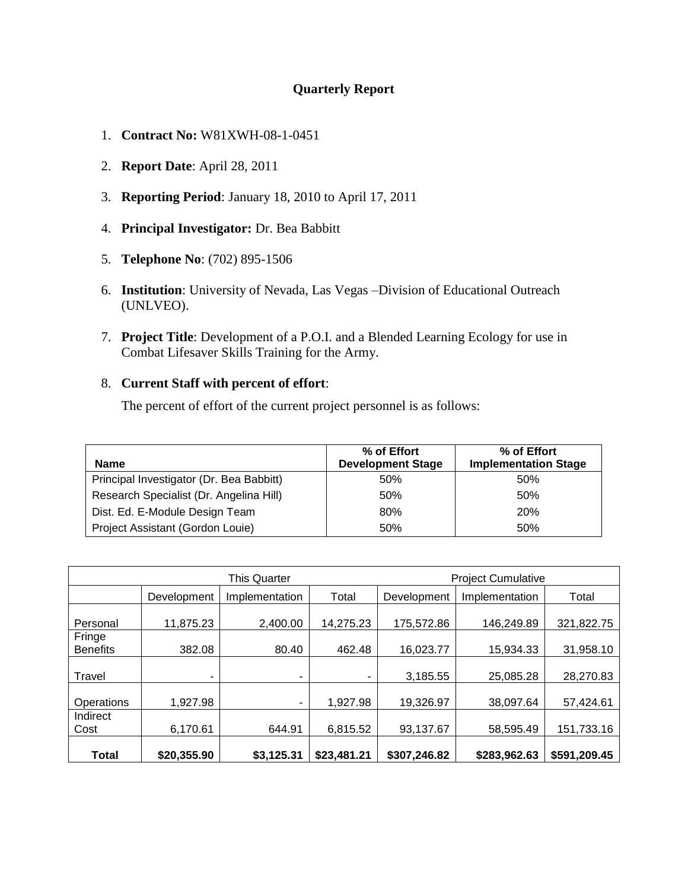#### **Quarterly Report**

- 1. **Contract No:** W81XWH-08-1-0451
- 2. **Report Date**: April 28, 2011
- 3. **Reporting Period**: January 18, 2010 to April 17, 2011
- 4. **Principal Investigator:** Dr. Bea Babbitt
- 5. **Telephone No**: (702) 895-1506
- 6. **Institution**: University of Nevada, Las Vegas –Division of Educational Outreach (UNLVEO).
- 7. **Project Title**: Development of a P.O.I. and a Blended Learning Ecology for use in Combat Lifesaver Skills Training for the Army.

#### 8. **Current Staff with percent of effort**:

The percent of effort of the current project personnel is as follows:

| <b>Name</b>                              | % of Effort<br><b>Development Stage</b> | % of Effort<br><b>Implementation Stage</b> |
|------------------------------------------|-----------------------------------------|--------------------------------------------|
| Principal Investigator (Dr. Bea Babbitt) | 50%                                     | 50%                                        |
| Research Specialist (Dr. Angelina Hill)  | 50%                                     | 50%                                        |
| Dist. Ed. E-Module Design Team           | 80%                                     | <b>20%</b>                                 |
| Project Assistant (Gordon Louie)         | 50%                                     | 50%                                        |

|                           | <b>This Quarter</b> |                |             | <b>Project Cumulative</b> |                |              |
|---------------------------|---------------------|----------------|-------------|---------------------------|----------------|--------------|
|                           | Development         | Implementation | Total       | Development               | Implementation | Total        |
| Personal                  | 11,875.23           | 2,400.00       | 14,275.23   | 175,572.86                | 146,249.89     | 321,822.75   |
| Fringe<br><b>Benefits</b> | 382.08              | 80.40          | 462.48      | 16,023.77                 | 15,934.33      | 31,958.10    |
| Travel                    | ۰                   | ۰              |             | 3,185.55                  | 25,085.28      | 28,270.83    |
| Operations                | 1,927.98            | ۰              | 1,927.98    | 19,326.97                 | 38,097.64      | 57,424.61    |
| Indirect<br>Cost          | 6,170.61            | 644.91         | 6,815.52    | 93,137.67                 | 58,595.49      | 151,733.16   |
| Total                     | \$20,355.90         | \$3,125.31     | \$23,481.21 | \$307,246.82              | \$283,962.63   | \$591,209.45 |